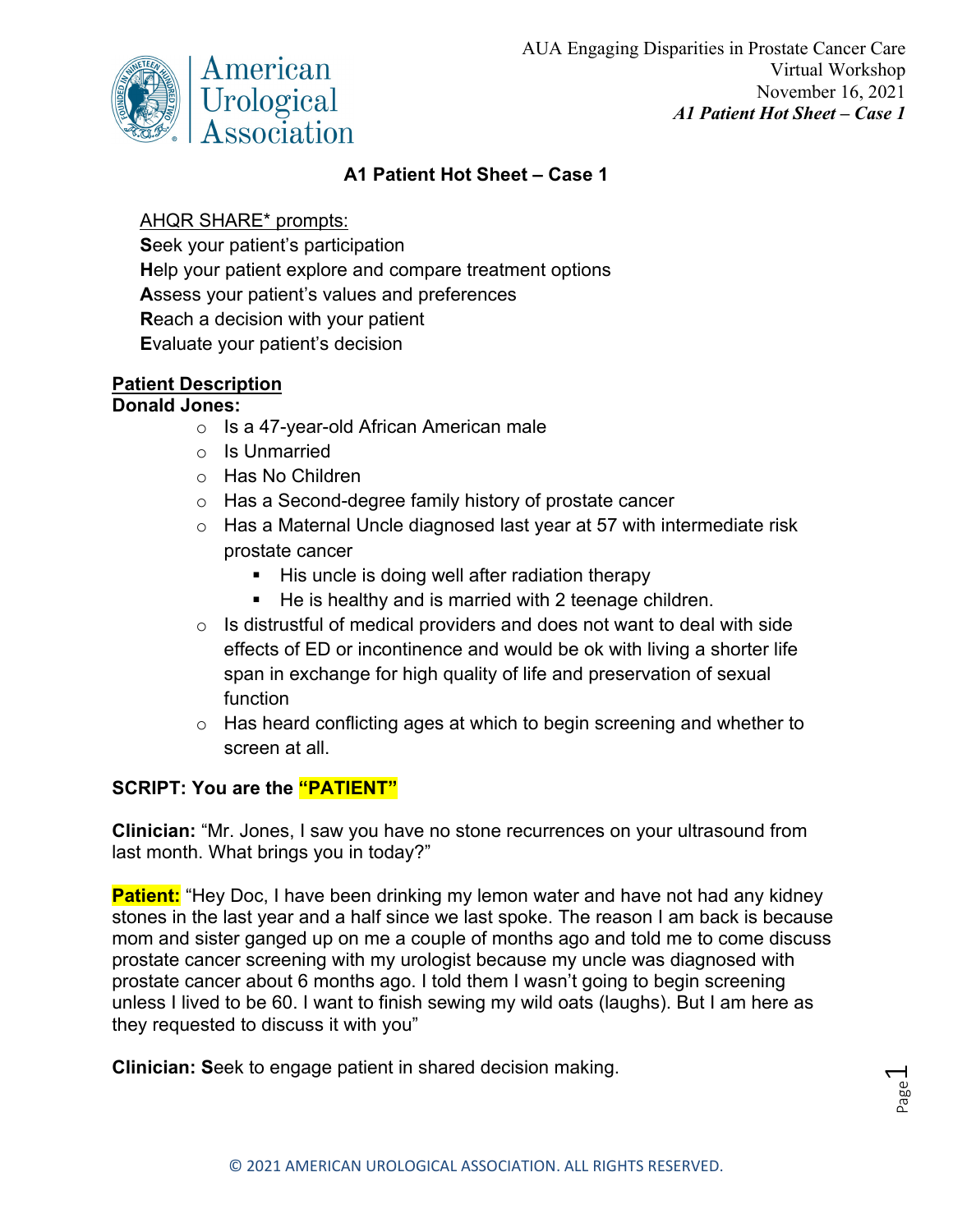

### **A1 Patient Hot Sheet – Case 1**

#### AHQR SHARE\* prompts:

**S**eek your patient's participation **H**elp your patient explore and compare treatment options **A**ssess your patient's values and preferences **R**each a decision with your patient **E**valuate your patient's decision

# **Patient Description**

## **Donald Jones:**

- o Is a 47-year-old African American male
- o Is Unmarried
- o Has No Children
- o Has a Second-degree family history of prostate cancer
- o Has a Maternal Uncle diagnosed last year at 57 with intermediate risk prostate cancer
	- $\blacksquare$  His uncle is doing well after radiation therapy
	- He is healthy and is married with 2 teenage children.
- $\circ$  Is distrustful of medical providers and does not want to deal with side effects of ED or incontinence and would be ok with living a shorter life span in exchange for high quality of life and preservation of sexual function
- $\circ$  Has heard conflicting ages at which to begin screening and whether to screen at all.

## **SCRIPT: You are the "PATIENT"**

**Clinician:** "Mr. Jones, I saw you have no stone recurrences on your ultrasound from last month. What brings you in today?"

**Patient:** "Hey Doc, I have been drinking my lemon water and have not had any kidney stones in the last year and a half since we last spoke. The reason I am back is because mom and sister ganged up on me a couple of months ago and told me to come discuss prostate cancer screening with my urologist because my uncle was diagnosed with prostate cancer about 6 months ago. I told them I wasn't going to begin screening unless I lived to be 60. I want to finish sewing my wild oats (laughs). But I am here as they requested to discuss it with you"

**Clinician: S**eek to engage patient in shared decision making.